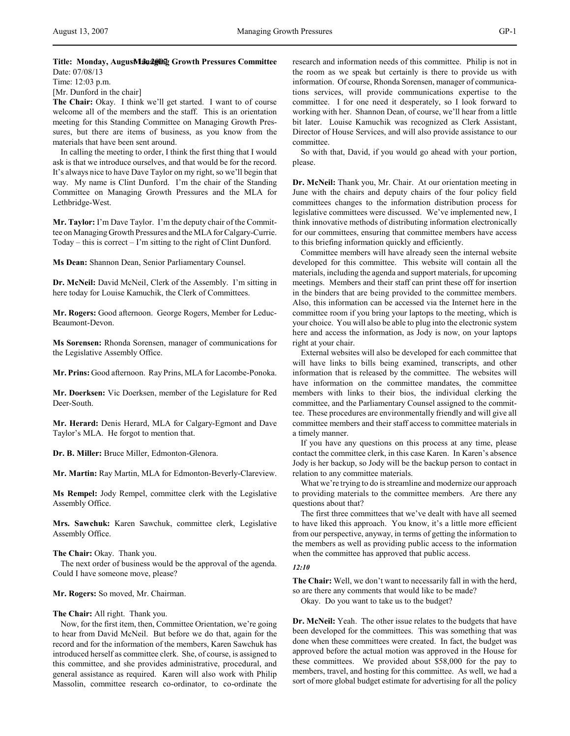# Title: Monday, AugusManaging Growth Pressures Committee Date: 07/08/13

Time: 12:03 p.m.

[Mr. Dunford in the chair]

**The Chair:** Okay. I think we'll get started. I want to of course welcome all of the members and the staff. This is an orientation meeting for this Standing Committee on Managing Growth Pressures, but there are items of business, as you know from the materials that have been sent around.

In calling the meeting to order, I think the first thing that I would ask is that we introduce ourselves, and that would be for the record. It's always nice to have Dave Taylor on my right, so we'll begin that way. My name is Clint Dunford. I'm the chair of the Standing Committee on Managing Growth Pressures and the MLA for Lethbridge-West.

**Mr. Taylor:** I'm Dave Taylor. I'm the deputy chair of the Committee on Managing Growth Pressures and the MLA for Calgary-Currie. Today – this is correct – I'm sitting to the right of Clint Dunford.

**Ms Dean:** Shannon Dean, Senior Parliamentary Counsel.

**Dr. McNeil:** David McNeil, Clerk of the Assembly. I'm sitting in here today for Louise Kamuchik, the Clerk of Committees.

**Mr. Rogers:** Good afternoon. George Rogers, Member for Leduc-Beaumont-Devon.

**Ms Sorensen:** Rhonda Sorensen, manager of communications for the Legislative Assembly Office.

**Mr. Prins:** Good afternoon. Ray Prins, MLA for Lacombe-Ponoka.

**Mr. Doerksen:** Vic Doerksen, member of the Legislature for Red Deer-South.

**Mr. Herard:** Denis Herard, MLA for Calgary-Egmont and Dave Taylor's MLA. He forgot to mention that.

**Dr. B. Miller:** Bruce Miller, Edmonton-Glenora.

**Mr. Martin:** Ray Martin, MLA for Edmonton-Beverly-Clareview.

**Ms Rempel:** Jody Rempel, committee clerk with the Legislative Assembly Office.

**Mrs. Sawchuk:** Karen Sawchuk, committee clerk, Legislative Assembly Office.

**The Chair:** Okay. Thank you.

The next order of business would be the approval of the agenda. Could I have someone move, please?

**Mr. Rogers:** So moved, Mr. Chairman.

**The Chair:** All right. Thank you.

Now, for the first item, then, Committee Orientation, we're going to hear from David McNeil. But before we do that, again for the record and for the information of the members, Karen Sawchuk has introduced herself as committee clerk. She, of course, is assigned to this committee, and she provides administrative, procedural, and general assistance as required. Karen will also work with Philip Massolin, committee research co-ordinator, to co-ordinate the research and information needs of this committee. Philip is not in the room as we speak but certainly is there to provide us with information. Of course, Rhonda Sorensen, manager of communications services, will provide communications expertise to the committee. I for one need it desperately, so I look forward to working with her. Shannon Dean, of course, we'll hear from a little bit later. Louise Kamuchik was recognized as Clerk Assistant, Director of House Services, and will also provide assistance to our committee.

So with that, David, if you would go ahead with your portion, please.

**Dr. McNeil:** Thank you, Mr. Chair. At our orientation meeting in June with the chairs and deputy chairs of the four policy field committees changes to the information distribution process for legislative committees were discussed. We've implemented new, I think innovative methods of distributing information electronically for our committees, ensuring that committee members have access to this briefing information quickly and efficiently.

Committee members will have already seen the internal website developed for this committee. This website will contain all the materials, including the agenda and support materials, for upcoming meetings. Members and their staff can print these off for insertion in the binders that are being provided to the committee members. Also, this information can be accessed via the Internet here in the committee room if you bring your laptops to the meeting, which is your choice. You will also be able to plug into the electronic system here and access the information, as Jody is now, on your laptops right at your chair.

External websites will also be developed for each committee that will have links to bills being examined, transcripts, and other information that is released by the committee. The websites will have information on the committee mandates, the committee members with links to their bios, the individual clerking the committee, and the Parliamentary Counsel assigned to the committee. These procedures are environmentally friendly and will give all committee members and their staff access to committee materials in a timely manner.

If you have any questions on this process at any time, please contact the committee clerk, in this case Karen. In Karen's absence Jody is her backup, so Jody will be the backup person to contact in relation to any committee materials.

What we're trying to do is streamline and modernize our approach to providing materials to the committee members. Are there any questions about that?

The first three committees that we've dealt with have all seemed to have liked this approach. You know, it's a little more efficient from our perspective, anyway, in terms of getting the information to the members as well as providing public access to the information when the committee has approved that public access.

# *12:10*

**The Chair:** Well, we don't want to necessarily fall in with the herd, so are there any comments that would like to be made?

Okay. Do you want to take us to the budget?

**Dr. McNeil:** Yeah. The other issue relates to the budgets that have been developed for the committees. This was something that was done when these committees were created. In fact, the budget was approved before the actual motion was approved in the House for these committees. We provided about \$58,000 for the pay to members, travel, and hosting for this committee. As well, we had a sort of more global budget estimate for advertising for all the policy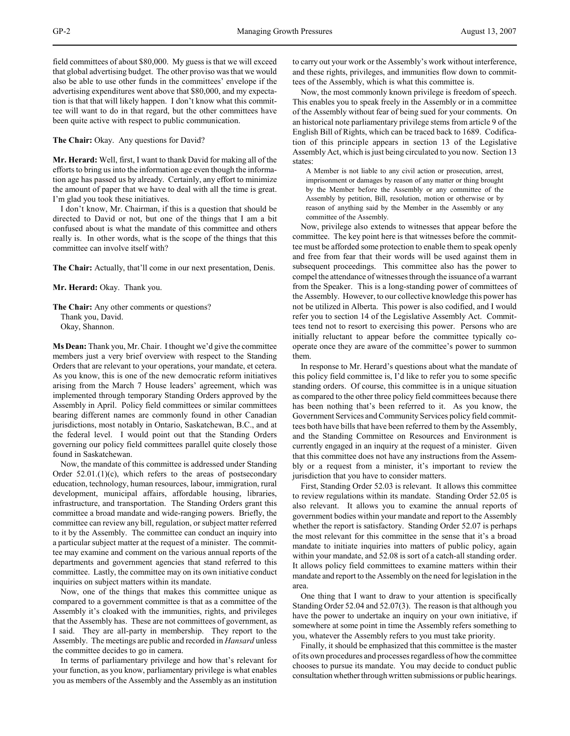field committees of about \$80,000. My guess is that we will exceed that global advertising budget. The other proviso was that we would also be able to use other funds in the committees' envelope if the advertising expenditures went above that \$80,000, and my expectation is that that will likely happen. I don't know what this committee will want to do in that regard, but the other committees have been quite active with respect to public communication.

**The Chair:** Okay. Any questions for David?

**Mr. Herard:** Well, first, I want to thank David for making all of the efforts to bring us into the information age even though the information age has passed us by already. Certainly, any effort to minimize the amount of paper that we have to deal with all the time is great. I'm glad you took these initiatives.

I don't know, Mr. Chairman, if this is a question that should be directed to David or not, but one of the things that I am a bit confused about is what the mandate of this committee and others really is. In other words, what is the scope of the things that this committee can involve itself with?

**The Chair:** Actually, that'll come in our next presentation, Denis.

**Mr. Herard:** Okay. Thank you.

**The Chair:** Any other comments or questions? Thank you, David. Okay, Shannon.

**Ms Dean:** Thank you, Mr. Chair. I thought we'd give the committee members just a very brief overview with respect to the Standing Orders that are relevant to your operations, your mandate, et cetera. As you know, this is one of the new democratic reform initiatives arising from the March 7 House leaders' agreement, which was implemented through temporary Standing Orders approved by the Assembly in April. Policy field committees or similar committees bearing different names are commonly found in other Canadian jurisdictions, most notably in Ontario, Saskatchewan, B.C., and at the federal level. I would point out that the Standing Orders governing our policy field committees parallel quite closely those found in Saskatchewan.

Now, the mandate of this committee is addressed under Standing Order 52.01.(1)(c), which refers to the areas of postsecondary education, technology, human resources, labour, immigration, rural development, municipal affairs, affordable housing, libraries, infrastructure, and transportation. The Standing Orders grant this committee a broad mandate and wide-ranging powers. Briefly, the committee can review any bill, regulation, or subject matter referred to it by the Assembly. The committee can conduct an inquiry into a particular subject matter at the request of a minister. The committee may examine and comment on the various annual reports of the departments and government agencies that stand referred to this committee. Lastly, the committee may on its own initiative conduct inquiries on subject matters within its mandate.

Now, one of the things that makes this committee unique as compared to a government committee is that as a committee of the Assembly it's cloaked with the immunities, rights, and privileges that the Assembly has. These are not committees of government, as I said. They are all-party in membership. They report to the Assembly. The meetings are public and recorded in *Hansard* unless the committee decides to go in camera.

In terms of parliamentary privilege and how that's relevant for your function, as you know, parliamentary privilege is what enables you as members of the Assembly and the Assembly as an institution

to carry out your work or the Assembly's work without interference, and these rights, privileges, and immunities flow down to committees of the Assembly, which is what this committee is.

Now, the most commonly known privilege is freedom of speech. This enables you to speak freely in the Assembly or in a committee of the Assembly without fear of being sued for your comments. On an historical note parliamentary privilege stems from article 9 of the English Bill of Rights, which can be traced back to 1689. Codification of this principle appears in section 13 of the Legislative Assembly Act, which is just being circulated to you now. Section 13 states:

A Member is not liable to any civil action or prosecution, arrest, imprisonment or damages by reason of any matter or thing brought by the Member before the Assembly or any committee of the Assembly by petition, Bill, resolution, motion or otherwise or by reason of anything said by the Member in the Assembly or any committee of the Assembly.

Now, privilege also extends to witnesses that appear before the committee. The key point here is that witnesses before the committee must be afforded some protection to enable them to speak openly and free from fear that their words will be used against them in subsequent proceedings. This committee also has the power to compel the attendance of witnesses through the issuance of a warrant from the Speaker. This is a long-standing power of committees of the Assembly. However, to our collective knowledge this power has not be utilized in Alberta. This power is also codified, and I would refer you to section 14 of the Legislative Assembly Act. Committees tend not to resort to exercising this power. Persons who are initially reluctant to appear before the committee typically cooperate once they are aware of the committee's power to summon them.

In response to Mr. Herard's questions about what the mandate of this policy field committee is, I'd like to refer you to some specific standing orders. Of course, this committee is in a unique situation as compared to the other three policy field committees because there has been nothing that's been referred to it. As you know, the Government Services and Community Services policy field committees both have bills that have been referred to them by the Assembly, and the Standing Committee on Resources and Environment is currently engaged in an inquiry at the request of a minister. Given that this committee does not have any instructions from the Assembly or a request from a minister, it's important to review the jurisdiction that you have to consider matters.

First, Standing Order 52.03 is relevant. It allows this committee to review regulations within its mandate. Standing Order 52.05 is also relevant. It allows you to examine the annual reports of government bodies within your mandate and report to the Assembly whether the report is satisfactory. Standing Order 52.07 is perhaps the most relevant for this committee in the sense that it's a broad mandate to initiate inquiries into matters of public policy, again within your mandate, and 52.08 is sort of a catch-all standing order. It allows policy field committees to examine matters within their mandate and report to the Assembly on the need for legislation in the area.

One thing that I want to draw to your attention is specifically Standing Order 52.04 and 52.07(3). The reason is that although you have the power to undertake an inquiry on your own initiative, if somewhere at some point in time the Assembly refers something to you, whatever the Assembly refers to you must take priority.

Finally, it should be emphasized that this committee is the master of its own procedures and processes regardless of how the committee chooses to pursue its mandate. You may decide to conduct public consultation whether through written submissions or public hearings.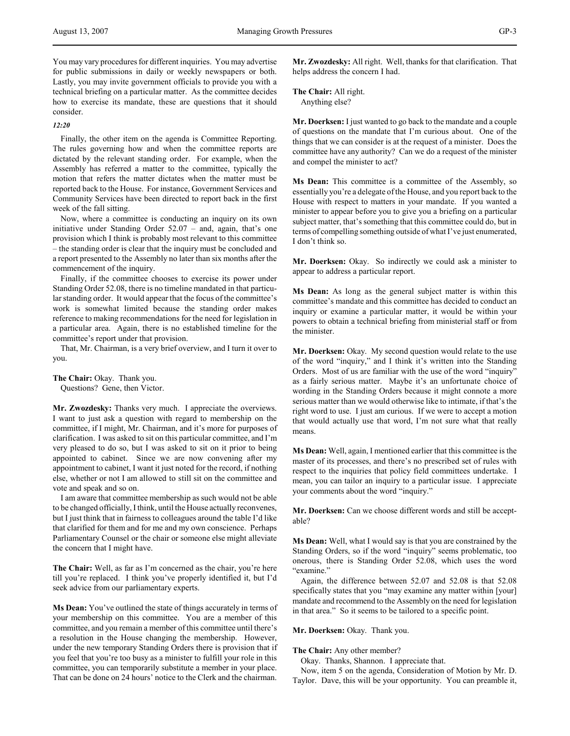You may vary procedures for different inquiries. You may advertise for public submissions in daily or weekly newspapers or both. Lastly, you may invite government officials to provide you with a technical briefing on a particular matter. As the committee decides how to exercise its mandate, these are questions that it should consider.

# *12:20*

Finally, the other item on the agenda is Committee Reporting. The rules governing how and when the committee reports are dictated by the relevant standing order. For example, when the Assembly has referred a matter to the committee, typically the motion that refers the matter dictates when the matter must be reported back to the House. For instance, Government Services and Community Services have been directed to report back in the first week of the fall sitting.

Now, where a committee is conducting an inquiry on its own initiative under Standing Order 52.07 – and, again, that's one provision which I think is probably most relevant to this committee – the standing order is clear that the inquiry must be concluded and a report presented to the Assembly no later than six months after the commencement of the inquiry.

Finally, if the committee chooses to exercise its power under Standing Order 52.08, there is no timeline mandated in that particular standing order. It would appear that the focus of the committee's work is somewhat limited because the standing order makes reference to making recommendations for the need for legislation in a particular area. Again, there is no established timeline for the committee's report under that provision.

That, Mr. Chairman, is a very brief overview, and I turn it over to you.

**The Chair:** Okay. Thank you.

Questions? Gene, then Victor.

**Mr. Zwozdesky:** Thanks very much. I appreciate the overviews. I want to just ask a question with regard to membership on the committee, if I might, Mr. Chairman, and it's more for purposes of clarification. I was asked to sit on this particular committee, and I'm very pleased to do so, but I was asked to sit on it prior to being appointed to cabinet. Since we are now convening after my appointment to cabinet, I want it just noted for the record, if nothing else, whether or not I am allowed to still sit on the committee and vote and speak and so on.

I am aware that committee membership as such would not be able to be changed officially, I think, until the House actually reconvenes, but I just think that in fairness to colleagues around the table I'd like that clarified for them and for me and my own conscience. Perhaps Parliamentary Counsel or the chair or someone else might alleviate the concern that I might have.

**The Chair:** Well, as far as I'm concerned as the chair, you're here till you're replaced. I think you've properly identified it, but I'd seek advice from our parliamentary experts.

**Ms Dean:** You've outlined the state of things accurately in terms of your membership on this committee. You are a member of this committee, and you remain a member of this committee until there's a resolution in the House changing the membership. However, under the new temporary Standing Orders there is provision that if you feel that you're too busy as a minister to fulfill your role in this committee, you can temporarily substitute a member in your place. That can be done on 24 hours' notice to the Clerk and the chairman.

**Mr. Zwozdesky:** All right. Well, thanks for that clarification. That helps address the concern I had.

**The Chair:** All right. Anything else?

**Mr. Doerksen:** I just wanted to go back to the mandate and a couple of questions on the mandate that I'm curious about. One of the things that we can consider is at the request of a minister. Does the committee have any authority? Can we do a request of the minister and compel the minister to act?

**Ms Dean:** This committee is a committee of the Assembly, so essentially you're a delegate of the House, and you report back to the House with respect to matters in your mandate. If you wanted a minister to appear before you to give you a briefing on a particular subject matter, that's something that this committee could do, but in terms of compelling something outside of what I've just enumerated, I don't think so.

**Mr. Doerksen:** Okay. So indirectly we could ask a minister to appear to address a particular report.

**Ms Dean:** As long as the general subject matter is within this committee's mandate and this committee has decided to conduct an inquiry or examine a particular matter, it would be within your powers to obtain a technical briefing from ministerial staff or from the minister.

**Mr. Doerksen:** Okay. My second question would relate to the use of the word "inquiry," and I think it's written into the Standing Orders. Most of us are familiar with the use of the word "inquiry" as a fairly serious matter. Maybe it's an unfortunate choice of wording in the Standing Orders because it might connote a more serious matter than we would otherwise like to intimate, if that's the right word to use. I just am curious. If we were to accept a motion that would actually use that word, I'm not sure what that really means.

**Ms Dean:** Well, again, I mentioned earlier that this committee is the master of its processes, and there's no prescribed set of rules with respect to the inquiries that policy field committees undertake. I mean, you can tailor an inquiry to a particular issue. I appreciate your comments about the word "inquiry."

**Mr. Doerksen:** Can we choose different words and still be acceptable?

**Ms Dean:** Well, what I would say is that you are constrained by the Standing Orders, so if the word "inquiry" seems problematic, too onerous, there is Standing Order 52.08, which uses the word "examine."

Again, the difference between 52.07 and 52.08 is that 52.08 specifically states that you "may examine any matter within [your] mandate and recommend to the Assembly on the need for legislation in that area." So it seems to be tailored to a specific point.

## **Mr. Doerksen:** Okay. Thank you.

**The Chair:** Any other member?

Okay. Thanks, Shannon. I appreciate that.

Now, item 5 on the agenda, Consideration of Motion by Mr. D. Taylor. Dave, this will be your opportunity. You can preamble it,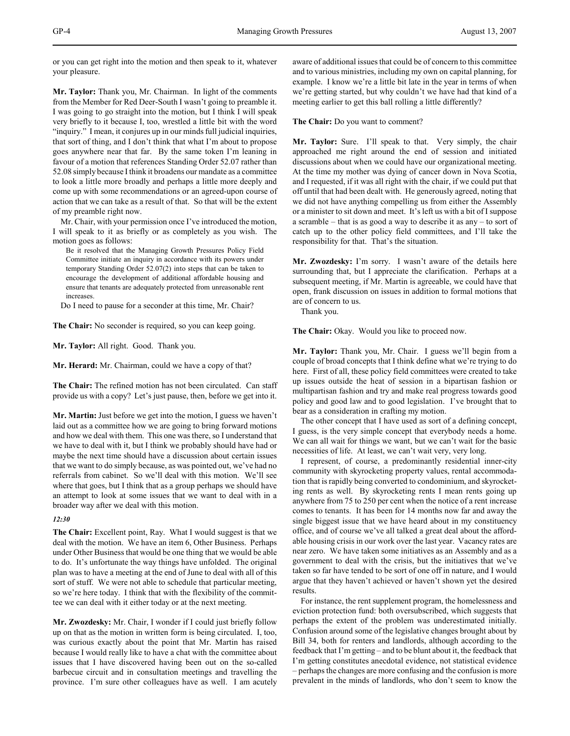or you can get right into the motion and then speak to it, whatever your pleasure.

**Mr. Taylor:** Thank you, Mr. Chairman. In light of the comments from the Member for Red Deer-South I wasn't going to preamble it. I was going to go straight into the motion, but I think I will speak very briefly to it because I, too, wrestled a little bit with the word "inquiry." I mean, it conjures up in our minds full judicial inquiries, that sort of thing, and I don't think that what I'm about to propose goes anywhere near that far. By the same token I'm leaning in favour of a motion that references Standing Order 52.07 rather than 52.08 simply because I think it broadens our mandate as a committee to look a little more broadly and perhaps a little more deeply and come up with some recommendations or an agreed-upon course of action that we can take as a result of that. So that will be the extent of my preamble right now.

Mr. Chair, with your permission once I've introduced the motion, I will speak to it as briefly or as completely as you wish. The motion goes as follows:

Be it resolved that the Managing Growth Pressures Policy Field Committee initiate an inquiry in accordance with its powers under temporary Standing Order 52.07(2) into steps that can be taken to encourage the development of additional affordable housing and ensure that tenants are adequately protected from unreasonable rent increases.

Do I need to pause for a seconder at this time, Mr. Chair?

**The Chair:** No seconder is required, so you can keep going.

**Mr. Taylor:** All right. Good. Thank you.

**Mr. Herard:** Mr. Chairman, could we have a copy of that?

**The Chair:** The refined motion has not been circulated. Can staff provide us with a copy? Let's just pause, then, before we get into it.

**Mr. Martin:** Just before we get into the motion, I guess we haven't laid out as a committee how we are going to bring forward motions and how we deal with them. This one was there, so I understand that we have to deal with it, but I think we probably should have had or maybe the next time should have a discussion about certain issues that we want to do simply because, as was pointed out, we've had no referrals from cabinet. So we'll deal with this motion. We'll see where that goes, but I think that as a group perhaps we should have an attempt to look at some issues that we want to deal with in a broader way after we deal with this motion.

#### *12:30*

**The Chair:** Excellent point, Ray. What I would suggest is that we deal with the motion. We have an item 6, Other Business. Perhaps under Other Business that would be one thing that we would be able to do. It's unfortunate the way things have unfolded. The original plan was to have a meeting at the end of June to deal with all of this sort of stuff. We were not able to schedule that particular meeting, so we're here today. I think that with the flexibility of the committee we can deal with it either today or at the next meeting.

**Mr. Zwozdesky:** Mr. Chair, I wonder if I could just briefly follow up on that as the motion in written form is being circulated. I, too, was curious exactly about the point that Mr. Martin has raised because I would really like to have a chat with the committee about issues that I have discovered having been out on the so-called barbecue circuit and in consultation meetings and travelling the province. I'm sure other colleagues have as well. I am acutely

aware of additional issues that could be of concern to this committee and to various ministries, including my own on capital planning, for example. I know we're a little bit late in the year in terms of when we're getting started, but why couldn't we have had that kind of a meeting earlier to get this ball rolling a little differently?

**The Chair:** Do you want to comment?

**Mr. Taylor:** Sure. I'll speak to that. Very simply, the chair approached me right around the end of session and initiated discussions about when we could have our organizational meeting. At the time my mother was dying of cancer down in Nova Scotia, and I requested, if it was all right with the chair, if we could put that off until that had been dealt with. He generously agreed, noting that we did not have anything compelling us from either the Assembly or a minister to sit down and meet. It's left us with a bit of I suppose a scramble – that is as good a way to describe it as any – to sort of catch up to the other policy field committees, and I'll take the responsibility for that. That's the situation.

**Mr. Zwozdesky:** I'm sorry. I wasn't aware of the details here surrounding that, but I appreciate the clarification. Perhaps at a subsequent meeting, if Mr. Martin is agreeable, we could have that open, frank discussion on issues in addition to formal motions that are of concern to us.

Thank you.

**The Chair:** Okay. Would you like to proceed now.

**Mr. Taylor:** Thank you, Mr. Chair. I guess we'll begin from a couple of broad concepts that I think define what we're trying to do here. First of all, these policy field committees were created to take up issues outside the heat of session in a bipartisan fashion or multipartisan fashion and try and make real progress towards good policy and good law and to good legislation. I've brought that to bear as a consideration in crafting my motion.

The other concept that I have used as sort of a defining concept, I guess, is the very simple concept that everybody needs a home. We can all wait for things we want, but we can't wait for the basic necessities of life. At least, we can't wait very, very long.

I represent, of course, a predominantly residential inner-city community with skyrocketing property values, rental accommodation that is rapidly being converted to condominium, and skyrocketing rents as well. By skyrocketing rents I mean rents going up anywhere from 75 to 250 per cent when the notice of a rent increase comes to tenants. It has been for 14 months now far and away the single biggest issue that we have heard about in my constituency office, and of course we've all talked a great deal about the affordable housing crisis in our work over the last year. Vacancy rates are near zero. We have taken some initiatives as an Assembly and as a government to deal with the crisis, but the initiatives that we've taken so far have tended to be sort of one off in nature, and I would argue that they haven't achieved or haven't shown yet the desired results.

For instance, the rent supplement program, the homelessness and eviction protection fund: both oversubscribed, which suggests that perhaps the extent of the problem was underestimated initially. Confusion around some of the legislative changes brought about by Bill 34, both for renters and landlords, although according to the feedback that I'm getting – and to be blunt about it, the feedback that I'm getting constitutes anecdotal evidence, not statistical evidence – perhaps the changes are more confusing and the confusion is more prevalent in the minds of landlords, who don't seem to know the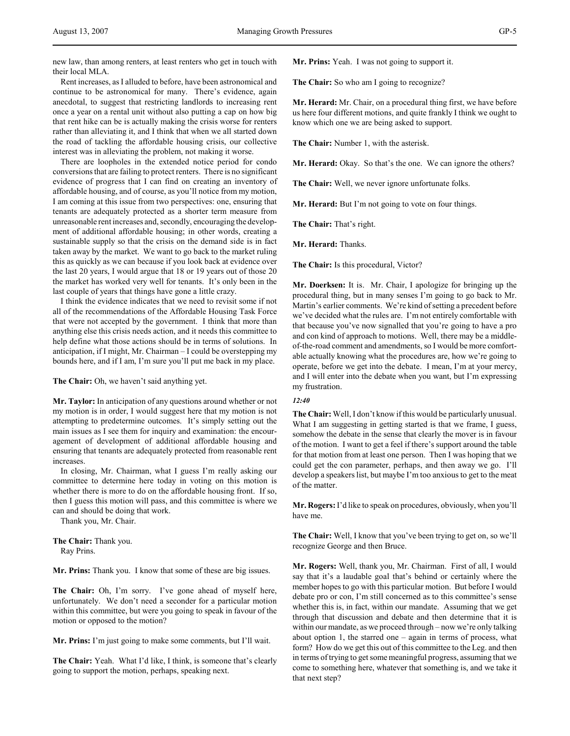new law, than among renters, at least renters who get in touch with their local MLA.

Rent increases, as I alluded to before, have been astronomical and continue to be astronomical for many. There's evidence, again anecdotal, to suggest that restricting landlords to increasing rent once a year on a rental unit without also putting a cap on how big that rent hike can be is actually making the crisis worse for renters rather than alleviating it, and I think that when we all started down the road of tackling the affordable housing crisis, our collective interest was in alleviating the problem, not making it worse.

There are loopholes in the extended notice period for condo conversions that are failing to protect renters. There is no significant evidence of progress that I can find on creating an inventory of affordable housing, and of course, as you'll notice from my motion, I am coming at this issue from two perspectives: one, ensuring that tenants are adequately protected as a shorter term measure from unreasonable rent increases and, secondly, encouraging the development of additional affordable housing; in other words, creating a sustainable supply so that the crisis on the demand side is in fact taken away by the market. We want to go back to the market ruling this as quickly as we can because if you look back at evidence over the last 20 years, I would argue that 18 or 19 years out of those 20 the market has worked very well for tenants. It's only been in the last couple of years that things have gone a little crazy.

I think the evidence indicates that we need to revisit some if not all of the recommendations of the Affordable Housing Task Force that were not accepted by the government. I think that more than anything else this crisis needs action, and it needs this committee to help define what those actions should be in terms of solutions. In anticipation, if I might, Mr. Chairman – I could be overstepping my bounds here, and if I am, I'm sure you'll put me back in my place.

**The Chair:** Oh, we haven't said anything yet.

**Mr. Taylor:** In anticipation of any questions around whether or not my motion is in order, I would suggest here that my motion is not attempting to predetermine outcomes. It's simply setting out the main issues as I see them for inquiry and examination: the encouragement of development of additional affordable housing and ensuring that tenants are adequately protected from reasonable rent increases.

In closing, Mr. Chairman, what I guess I'm really asking our committee to determine here today in voting on this motion is whether there is more to do on the affordable housing front. If so, then I guess this motion will pass, and this committee is where we can and should be doing that work.

Thank you, Mr. Chair.

**The Chair:** Thank you. Ray Prins.

**Mr. Prins:** Thank you. I know that some of these are big issues.

**The Chair:** Oh, I'm sorry. I've gone ahead of myself here, unfortunately. We don't need a seconder for a particular motion within this committee, but were you going to speak in favour of the motion or opposed to the motion?

**Mr. Prins:** I'm just going to make some comments, but I'll wait.

**The Chair:** Yeah. What I'd like, I think, is someone that's clearly going to support the motion, perhaps, speaking next.

**Mr. Prins:** Yeah. I was not going to support it.

**The Chair:** So who am I going to recognize?

**Mr. Herard:** Mr. Chair, on a procedural thing first, we have before us here four different motions, and quite frankly I think we ought to know which one we are being asked to support.

**The Chair:** Number 1, with the asterisk.

**Mr. Herard:** Okay. So that's the one. We can ignore the others?

**The Chair:** Well, we never ignore unfortunate folks.

**Mr. Herard:** But I'm not going to vote on four things.

**The Chair:** That's right.

**Mr. Herard:** Thanks.

**The Chair:** Is this procedural, Victor?

**Mr. Doerksen:** It is. Mr. Chair, I apologize for bringing up the procedural thing, but in many senses I'm going to go back to Mr. Martin's earlier comments. We're kind of setting a precedent before we've decided what the rules are. I'm not entirely comfortable with that because you've now signalled that you're going to have a pro and con kind of approach to motions. Well, there may be a middleof-the-road comment and amendments, so I would be more comfortable actually knowing what the procedures are, how we're going to operate, before we get into the debate. I mean, I'm at your mercy, and I will enter into the debate when you want, but I'm expressing my frustration.

## *12:40*

**The Chair:** Well, I don't know if this would be particularly unusual. What I am suggesting in getting started is that we frame, I guess, somehow the debate in the sense that clearly the mover is in favour of the motion. I want to get a feel if there's support around the table for that motion from at least one person. Then I was hoping that we could get the con parameter, perhaps, and then away we go. I'll develop a speakers list, but maybe I'm too anxious to get to the meat of the matter.

**Mr. Rogers:** I'd like to speak on procedures, obviously, when you'll have me.

**The Chair:** Well, I know that you've been trying to get on, so we'll recognize George and then Bruce.

**Mr. Rogers:** Well, thank you, Mr. Chairman. First of all, I would say that it's a laudable goal that's behind or certainly where the member hopes to go with this particular motion. But before I would debate pro or con, I'm still concerned as to this committee's sense whether this is, in fact, within our mandate. Assuming that we get through that discussion and debate and then determine that it is within our mandate, as we proceed through – now we're only talking about option 1, the starred one – again in terms of process, what form? How do we get this out of this committee to the Leg. and then in terms of trying to get some meaningful progress, assuming that we come to something here, whatever that something is, and we take it that next step?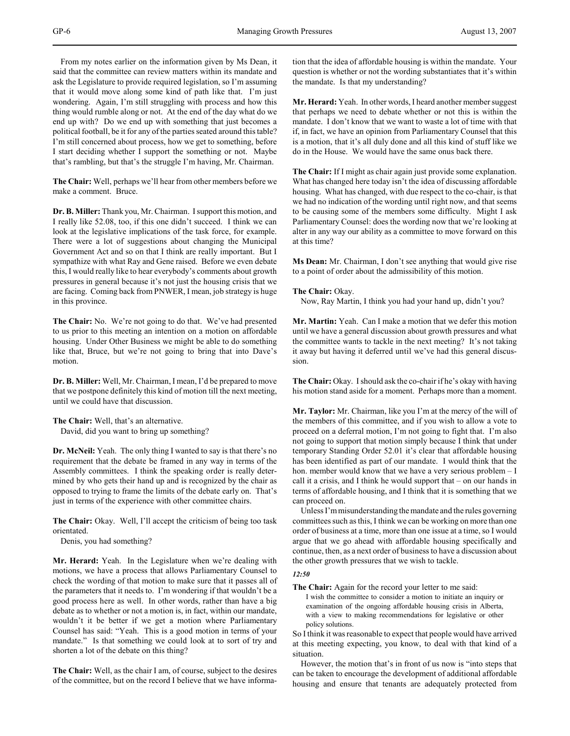From my notes earlier on the information given by Ms Dean, it said that the committee can review matters within its mandate and ask the Legislature to provide required legislation, so I'm assuming that it would move along some kind of path like that. I'm just wondering. Again, I'm still struggling with process and how this thing would rumble along or not. At the end of the day what do we end up with? Do we end up with something that just becomes a political football, be it for any of the parties seated around this table? I'm still concerned about process, how we get to something, before I start deciding whether I support the something or not. Maybe that's rambling, but that's the struggle I'm having, Mr. Chairman.

**The Chair:** Well, perhaps we'll hear from other members before we make a comment. Bruce.

**Dr. B. Miller:** Thank you, Mr. Chairman. I support this motion, and I really like 52.08, too, if this one didn't succeed. I think we can look at the legislative implications of the task force, for example. There were a lot of suggestions about changing the Municipal Government Act and so on that I think are really important. But I sympathize with what Ray and Gene raised. Before we even debate this, I would really like to hear everybody's comments about growth pressures in general because it's not just the housing crisis that we are facing. Coming back from PNWER, I mean, job strategy is huge in this province.

**The Chair:** No. We're not going to do that. We've had presented to us prior to this meeting an intention on a motion on affordable housing. Under Other Business we might be able to do something like that, Bruce, but we're not going to bring that into Dave's motion.

**Dr. B. Miller:** Well, Mr. Chairman, I mean, I'd be prepared to move that we postpone definitely this kind of motion till the next meeting, until we could have that discussion.

**The Chair:** Well, that's an alternative. David, did you want to bring up something?

**Dr. McNeil:** Yeah. The only thing I wanted to say is that there's no requirement that the debate be framed in any way in terms of the Assembly committees. I think the speaking order is really determined by who gets their hand up and is recognized by the chair as opposed to trying to frame the limits of the debate early on. That's just in terms of the experience with other committee chairs.

**The Chair:** Okay. Well, I'll accept the criticism of being too task orientated.

Denis, you had something?

**Mr. Herard:** Yeah. In the Legislature when we're dealing with motions, we have a process that allows Parliamentary Counsel to check the wording of that motion to make sure that it passes all of the parameters that it needs to. I'm wondering if that wouldn't be a good process here as well. In other words, rather than have a big debate as to whether or not a motion is, in fact, within our mandate, wouldn't it be better if we get a motion where Parliamentary Counsel has said: "Yeah. This is a good motion in terms of your mandate." Is that something we could look at to sort of try and shorten a lot of the debate on this thing?

**The Chair:** Well, as the chair I am, of course, subject to the desires of the committee, but on the record I believe that we have information that the idea of affordable housing is within the mandate. Your question is whether or not the wording substantiates that it's within the mandate. Is that my understanding?

**Mr. Herard:** Yeah. In other words, I heard another member suggest that perhaps we need to debate whether or not this is within the mandate. I don't know that we want to waste a lot of time with that if, in fact, we have an opinion from Parliamentary Counsel that this is a motion, that it's all duly done and all this kind of stuff like we do in the House. We would have the same onus back there.

**The Chair:** If I might as chair again just provide some explanation. What has changed here today isn't the idea of discussing affordable housing. What has changed, with due respect to the co-chair, is that we had no indication of the wording until right now, and that seems to be causing some of the members some difficulty. Might I ask Parliamentary Counsel: does the wording now that we're looking at alter in any way our ability as a committee to move forward on this at this time?

**Ms Dean:** Mr. Chairman, I don't see anything that would give rise to a point of order about the admissibility of this motion.

## **The Chair:** Okay.

Now, Ray Martin, I think you had your hand up, didn't you?

**Mr. Martin:** Yeah. Can I make a motion that we defer this motion until we have a general discussion about growth pressures and what the committee wants to tackle in the next meeting? It's not taking it away but having it deferred until we've had this general discussion.

**The Chair:** Okay. I should ask the co-chair if he's okay with having his motion stand aside for a moment. Perhaps more than a moment.

**Mr. Taylor:** Mr. Chairman, like you I'm at the mercy of the will of the members of this committee, and if you wish to allow a vote to proceed on a deferral motion, I'm not going to fight that. I'm also not going to support that motion simply because I think that under temporary Standing Order 52.01 it's clear that affordable housing has been identified as part of our mandate. I would think that the hon. member would know that we have a very serious problem – I call it a crisis, and I think he would support that – on our hands in terms of affordable housing, and I think that it is something that we can proceed on.

Unless I'm misunderstanding the mandate and the rules governing committees such as this, I think we can be working on more than one order of business at a time, more than one issue at a time, so I would argue that we go ahead with affordable housing specifically and continue, then, as a next order of business to have a discussion about the other growth pressures that we wish to tackle.

#### *12:50*

**The Chair:** Again for the record your letter to me said:

I wish the committee to consider a motion to initiate an inquiry or examination of the ongoing affordable housing crisis in Alberta, with a view to making recommendations for legislative or other policy solutions.

So I think it was reasonable to expect that people would have arrived at this meeting expecting, you know, to deal with that kind of a situation.

However, the motion that's in front of us now is "into steps that can be taken to encourage the development of additional affordable housing and ensure that tenants are adequately protected from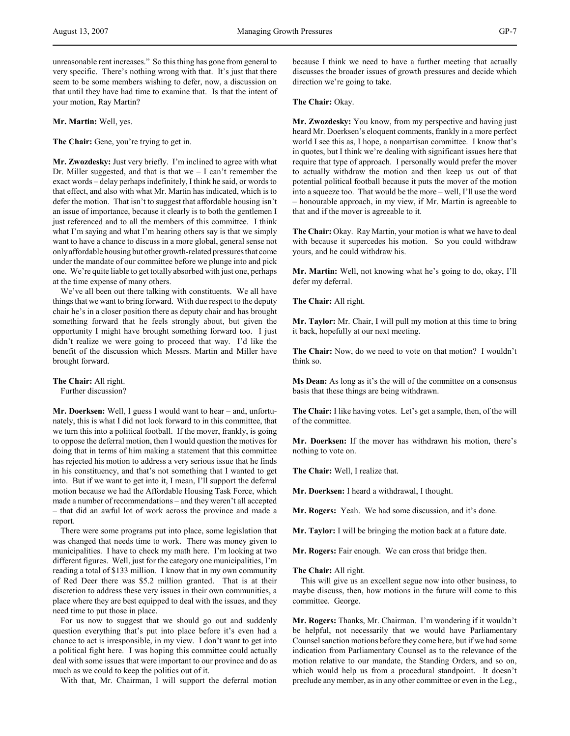unreasonable rent increases." So this thing has gone from general to very specific. There's nothing wrong with that. It's just that there seem to be some members wishing to defer, now, a discussion on that until they have had time to examine that. Is that the intent of your motion, Ray Martin?

**Mr. Martin:** Well, yes.

**The Chair:** Gene, you're trying to get in.

**Mr. Zwozdesky:** Just very briefly. I'm inclined to agree with what Dr. Miller suggested, and that is that we  $-$  I can't remember the exact words – delay perhaps indefinitely, I think he said, or words to that effect, and also with what Mr. Martin has indicated, which is to defer the motion. That isn't to suggest that affordable housing isn't an issue of importance, because it clearly is to both the gentlemen I just referenced and to all the members of this committee. I think what I'm saying and what I'm hearing others say is that we simply want to have a chance to discuss in a more global, general sense not only affordable housing but other growth-related pressures that come under the mandate of our committee before we plunge into and pick one. We're quite liable to get totally absorbed with just one, perhaps at the time expense of many others.

We've all been out there talking with constituents. We all have things that we want to bring forward. With due respect to the deputy chair he's in a closer position there as deputy chair and has brought something forward that he feels strongly about, but given the opportunity I might have brought something forward too. I just didn't realize we were going to proceed that way. I'd like the benefit of the discussion which Messrs. Martin and Miller have brought forward.

**The Chair:** All right. Further discussion?

**Mr. Doerksen:** Well, I guess I would want to hear – and, unfortunately, this is what I did not look forward to in this committee, that we turn this into a political football. If the mover, frankly, is going to oppose the deferral motion, then I would question the motives for doing that in terms of him making a statement that this committee has rejected his motion to address a very serious issue that he finds in his constituency, and that's not something that I wanted to get into. But if we want to get into it, I mean, I'll support the deferral motion because we had the Affordable Housing Task Force, which made a number of recommendations – and they weren't all accepted – that did an awful lot of work across the province and made a report.

There were some programs put into place, some legislation that was changed that needs time to work. There was money given to municipalities. I have to check my math here. I'm looking at two different figures. Well, just for the category one municipalities, I'm reading a total of \$133 million. I know that in my own community of Red Deer there was \$5.2 million granted. That is at their discretion to address these very issues in their own communities, a place where they are best equipped to deal with the issues, and they need time to put those in place.

For us now to suggest that we should go out and suddenly question everything that's put into place before it's even had a chance to act is irresponsible, in my view. I don't want to get into a political fight here. I was hoping this committee could actually deal with some issues that were important to our province and do as much as we could to keep the politics out of it.

With that, Mr. Chairman, I will support the deferral motion

because I think we need to have a further meeting that actually discusses the broader issues of growth pressures and decide which direction we're going to take.

**The Chair:** Okay.

**Mr. Zwozdesky:** You know, from my perspective and having just heard Mr. Doerksen's eloquent comments, frankly in a more perfect world I see this as, I hope, a nonpartisan committee. I know that's in quotes, but I think we're dealing with significant issues here that require that type of approach. I personally would prefer the mover to actually withdraw the motion and then keep us out of that potential political football because it puts the mover of the motion into a squeeze too. That would be the more – well, I'll use the word – honourable approach, in my view, if Mr. Martin is agreeable to that and if the mover is agreeable to it.

**The Chair:** Okay. Ray Martin, your motion is what we have to deal with because it supercedes his motion. So you could withdraw yours, and he could withdraw his.

**Mr. Martin:** Well, not knowing what he's going to do, okay, I'll defer my deferral.

**The Chair:** All right.

**Mr. Taylor:** Mr. Chair, I will pull my motion at this time to bring it back, hopefully at our next meeting.

**The Chair:** Now, do we need to vote on that motion? I wouldn't think so.

**Ms Dean:** As long as it's the will of the committee on a consensus basis that these things are being withdrawn.

**The Chair:** I like having votes. Let's get a sample, then, of the will of the committee.

**Mr. Doerksen:** If the mover has withdrawn his motion, there's nothing to vote on.

**The Chair:** Well, I realize that.

**Mr. Doerksen:** I heard a withdrawal, I thought.

**Mr. Rogers:** Yeah. We had some discussion, and it's done.

**Mr. Taylor:** I will be bringing the motion back at a future date.

**Mr. Rogers:** Fair enough. We can cross that bridge then.

#### **The Chair:** All right.

This will give us an excellent segue now into other business, to maybe discuss, then, how motions in the future will come to this committee. George.

**Mr. Rogers:** Thanks, Mr. Chairman. I'm wondering if it wouldn't be helpful, not necessarily that we would have Parliamentary Counsel sanction motions before they come here, but if we had some indication from Parliamentary Counsel as to the relevance of the motion relative to our mandate, the Standing Orders, and so on, which would help us from a procedural standpoint. It doesn't preclude any member, as in any other committee or even in the Leg.,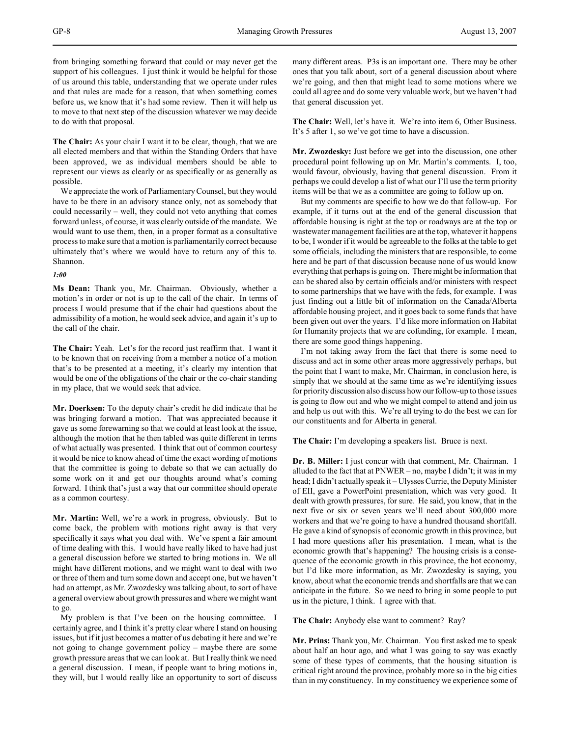from bringing something forward that could or may never get the support of his colleagues. I just think it would be helpful for those of us around this table, understanding that we operate under rules and that rules are made for a reason, that when something comes before us, we know that it's had some review. Then it will help us to move to that next step of the discussion whatever we may decide to do with that proposal.

**The Chair:** As your chair I want it to be clear, though, that we are all elected members and that within the Standing Orders that have been approved, we as individual members should be able to represent our views as clearly or as specifically or as generally as possible.

We appreciate the work of Parliamentary Counsel, but they would have to be there in an advisory stance only, not as somebody that could necessarily – well, they could not veto anything that comes forward unless, of course, it was clearly outside of the mandate. We would want to use them, then, in a proper format as a consultative process to make sure that a motion is parliamentarily correct because ultimately that's where we would have to return any of this to. Shannon.

### *1:00*

**Ms Dean:** Thank you, Mr. Chairman. Obviously, whether a motion's in order or not is up to the call of the chair. In terms of process I would presume that if the chair had questions about the admissibility of a motion, he would seek advice, and again it's up to the call of the chair.

**The Chair:** Yeah. Let's for the record just reaffirm that. I want it to be known that on receiving from a member a notice of a motion that's to be presented at a meeting, it's clearly my intention that would be one of the obligations of the chair or the co-chair standing in my place, that we would seek that advice.

**Mr. Doerksen:** To the deputy chair's credit he did indicate that he was bringing forward a motion. That was appreciated because it gave us some forewarning so that we could at least look at the issue, although the motion that he then tabled was quite different in terms of what actually was presented. I think that out of common courtesy it would be nice to know ahead of time the exact wording of motions that the committee is going to debate so that we can actually do some work on it and get our thoughts around what's coming forward. I think that's just a way that our committee should operate as a common courtesy.

**Mr. Martin:** Well, we're a work in progress, obviously. But to come back, the problem with motions right away is that very specifically it says what you deal with. We've spent a fair amount of time dealing with this. I would have really liked to have had just a general discussion before we started to bring motions in. We all might have different motions, and we might want to deal with two or three of them and turn some down and accept one, but we haven't had an attempt, as Mr. Zwozdesky was talking about, to sort of have a general overview about growth pressures and where we might want to go.

My problem is that I've been on the housing committee. I certainly agree, and I think it's pretty clear where I stand on housing issues, but if it just becomes a matter of us debating it here and we're not going to change government policy – maybe there are some growth pressure areas that we can look at. But I really think we need a general discussion. I mean, if people want to bring motions in, they will, but I would really like an opportunity to sort of discuss

many different areas. P3s is an important one. There may be other ones that you talk about, sort of a general discussion about where we're going, and then that might lead to some motions where we could all agree and do some very valuable work, but we haven't had that general discussion yet.

**The Chair:** Well, let's have it. We're into item 6, Other Business. It's 5 after 1, so we've got time to have a discussion.

**Mr. Zwozdesky:** Just before we get into the discussion, one other procedural point following up on Mr. Martin's comments. I, too, would favour, obviously, having that general discussion. From it perhaps we could develop a list of what our I'll use the term priority items will be that we as a committee are going to follow up on.

But my comments are specific to how we do that follow-up. For example, if it turns out at the end of the general discussion that affordable housing is right at the top or roadways are at the top or wastewater management facilities are at the top, whatever it happens to be, I wonder if it would be agreeable to the folks at the table to get some officials, including the ministers that are responsible, to come here and be part of that discussion because none of us would know everything that perhaps is going on. There might be information that can be shared also by certain officials and/or ministers with respect to some partnerships that we have with the feds, for example. I was just finding out a little bit of information on the Canada/Alberta affordable housing project, and it goes back to some funds that have been given out over the years. I'd like more information on Habitat for Humanity projects that we are cofunding, for example. I mean, there are some good things happening.

I'm not taking away from the fact that there is some need to discuss and act in some other areas more aggressively perhaps, but the point that I want to make, Mr. Chairman, in conclusion here, is simply that we should at the same time as we're identifying issues for priority discussion also discuss how our follow-up to those issues is going to flow out and who we might compel to attend and join us and help us out with this. We're all trying to do the best we can for our constituents and for Alberta in general.

**The Chair:** I'm developing a speakers list. Bruce is next.

**Dr. B. Miller:** I just concur with that comment, Mr. Chairman. I alluded to the fact that at  $PWVER - no$ , maybe I didn't; it was in my head; I didn't actually speak it – Ulysses Currie, the Deputy Minister of EII, gave a PowerPoint presentation, which was very good. It dealt with growth pressures, for sure. He said, you know, that in the next five or six or seven years we'll need about 300,000 more workers and that we're going to have a hundred thousand shortfall. He gave a kind of synopsis of economic growth in this province, but I had more questions after his presentation. I mean, what is the economic growth that's happening? The housing crisis is a consequence of the economic growth in this province, the hot economy, but I'd like more information, as Mr. Zwozdesky is saying, you know, about what the economic trends and shortfalls are that we can anticipate in the future. So we need to bring in some people to put us in the picture, I think. I agree with that.

**The Chair:** Anybody else want to comment? Ray?

**Mr. Prins:** Thank you, Mr. Chairman. You first asked me to speak about half an hour ago, and what I was going to say was exactly some of these types of comments, that the housing situation is critical right around the province, probably more so in the big cities than in my constituency. In my constituency we experience some of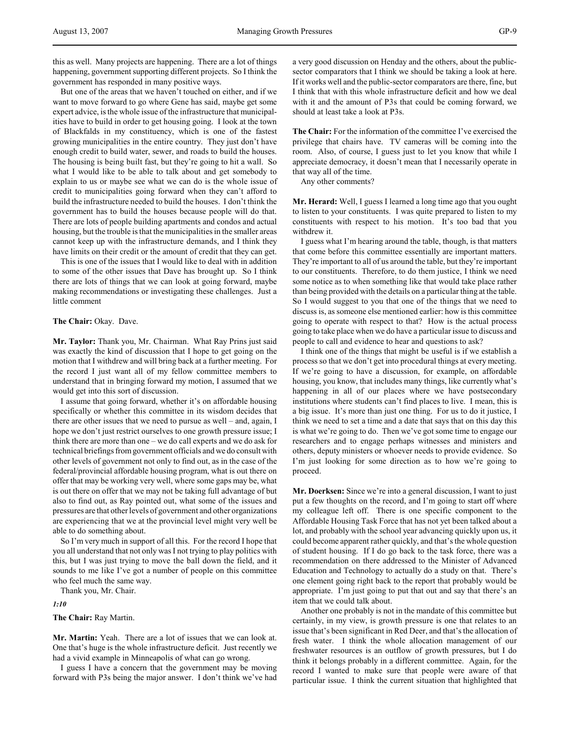this as well. Many projects are happening. There are a lot of things happening, government supporting different projects. So I think the government has responded in many positive ways.

But one of the areas that we haven't touched on either, and if we want to move forward to go where Gene has said, maybe get some expert advice, is the whole issue of the infrastructure that municipalities have to build in order to get housing going. I look at the town of Blackfalds in my constituency, which is one of the fastest growing municipalities in the entire country. They just don't have enough credit to build water, sewer, and roads to build the houses. The housing is being built fast, but they're going to hit a wall. So what I would like to be able to talk about and get somebody to explain to us or maybe see what we can do is the whole issue of credit to municipalities going forward when they can't afford to build the infrastructure needed to build the houses. I don't think the government has to build the houses because people will do that. There are lots of people building apartments and condos and actual housing, but the trouble is that the municipalities in the smaller areas cannot keep up with the infrastructure demands, and I think they have limits on their credit or the amount of credit that they can get.

This is one of the issues that I would like to deal with in addition to some of the other issues that Dave has brought up. So I think there are lots of things that we can look at going forward, maybe making recommendations or investigating these challenges. Just a little comment

#### **The Chair:** Okay. Dave.

**Mr. Taylor:** Thank you, Mr. Chairman. What Ray Prins just said was exactly the kind of discussion that I hope to get going on the motion that I withdrew and will bring back at a further meeting. For the record I just want all of my fellow committee members to understand that in bringing forward my motion, I assumed that we would get into this sort of discussion.

I assume that going forward, whether it's on affordable housing specifically or whether this committee in its wisdom decides that there are other issues that we need to pursue as well – and, again, I hope we don't just restrict ourselves to one growth pressure issue; I think there are more than one – we do call experts and we do ask for technical briefings from government officials and we do consult with other levels of government not only to find out, as in the case of the federal/provincial affordable housing program, what is out there on offer that may be working very well, where some gaps may be, what is out there on offer that we may not be taking full advantage of but also to find out, as Ray pointed out, what some of the issues and pressures are that other levels of government and other organizations are experiencing that we at the provincial level might very well be able to do something about.

So I'm very much in support of all this. For the record I hope that you all understand that not only was I not trying to play politics with this, but I was just trying to move the ball down the field, and it sounds to me like I've got a number of people on this committee who feel much the same way.

Thank you, Mr. Chair.

*1:10*

**The Chair:** Ray Martin.

**Mr. Martin:** Yeah. There are a lot of issues that we can look at. One that's huge is the whole infrastructure deficit. Just recently we had a vivid example in Minneapolis of what can go wrong.

I guess I have a concern that the government may be moving forward with P3s being the major answer. I don't think we've had

a very good discussion on Henday and the others, about the publicsector comparators that I think we should be taking a look at here. If it works well and the public-sector comparators are there, fine, but I think that with this whole infrastructure deficit and how we deal with it and the amount of P3s that could be coming forward, we should at least take a look at P3s.

**The Chair:** For the information of the committee I've exercised the privilege that chairs have. TV cameras will be coming into the room. Also, of course, I guess just to let you know that while I appreciate democracy, it doesn't mean that I necessarily operate in that way all of the time.

Any other comments?

**Mr. Herard:** Well, I guess I learned a long time ago that you ought to listen to your constituents. I was quite prepared to listen to my constituents with respect to his motion. It's too bad that you withdrew it.

I guess what I'm hearing around the table, though, is that matters that come before this committee essentially are important matters. They're important to all of us around the table, but they're important to our constituents. Therefore, to do them justice, I think we need some notice as to when something like that would take place rather than being provided with the details on a particular thing at the table. So I would suggest to you that one of the things that we need to discuss is, as someone else mentioned earlier: how is this committee going to operate with respect to that? How is the actual process going to take place when we do have a particular issue to discuss and people to call and evidence to hear and questions to ask?

I think one of the things that might be useful is if we establish a process so that we don't get into procedural things at every meeting. If we're going to have a discussion, for example, on affordable housing, you know, that includes many things, like currently what's happening in all of our places where we have postsecondary institutions where students can't find places to live. I mean, this is a big issue. It's more than just one thing. For us to do it justice, I think we need to set a time and a date that says that on this day this is what we're going to do. Then we've got some time to engage our researchers and to engage perhaps witnesses and ministers and others, deputy ministers or whoever needs to provide evidence. So I'm just looking for some direction as to how we're going to proceed.

**Mr. Doerksen:** Since we're into a general discussion, I want to just put a few thoughts on the record, and I'm going to start off where my colleague left off. There is one specific component to the Affordable Housing Task Force that has not yet been talked about a lot, and probably with the school year advancing quickly upon us, it could become apparent rather quickly, and that's the whole question of student housing. If I do go back to the task force, there was a recommendation on there addressed to the Minister of Advanced Education and Technology to actually do a study on that. There's one element going right back to the report that probably would be appropriate. I'm just going to put that out and say that there's an item that we could talk about.

Another one probably is not in the mandate of this committee but certainly, in my view, is growth pressure is one that relates to an issue that's been significant in Red Deer, and that's the allocation of fresh water. I think the whole allocation management of our freshwater resources is an outflow of growth pressures, but I do think it belongs probably in a different committee. Again, for the record I wanted to make sure that people were aware of that particular issue. I think the current situation that highlighted that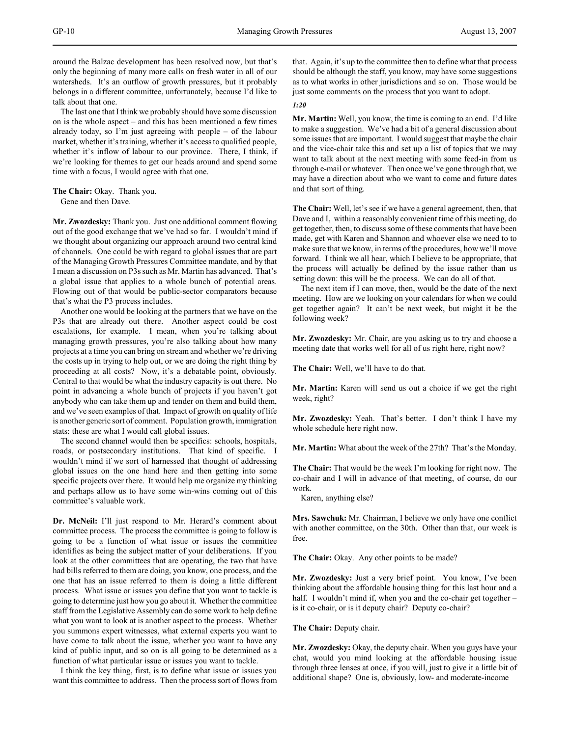around the Balzac development has been resolved now, but that's only the beginning of many more calls on fresh water in all of our watersheds. It's an outflow of growth pressures, but it probably belongs in a different committee, unfortunately, because I'd like to talk about that one.

The last one that I think we probably should have some discussion on is the whole aspect – and this has been mentioned a few times already today, so I'm just agreeing with people – of the labour market, whether it's training, whether it's access to qualified people, whether it's inflow of labour to our province. There, I think, if we're looking for themes to get our heads around and spend some time with a focus, I would agree with that one.

**The Chair:** Okay. Thank you. Gene and then Dave.

**Mr. Zwozdesky:** Thank you. Just one additional comment flowing out of the good exchange that we've had so far. I wouldn't mind if we thought about organizing our approach around two central kind of channels. One could be with regard to global issues that are part of the Managing Growth Pressures Committee mandate, and by that I mean a discussion on P3s such as Mr. Martin has advanced. That's a global issue that applies to a whole bunch of potential areas. Flowing out of that would be public-sector comparators because that's what the P3 process includes.

Another one would be looking at the partners that we have on the P3s that are already out there. Another aspect could be cost escalations, for example. I mean, when you're talking about managing growth pressures, you're also talking about how many projects at a time you can bring on stream and whether we're driving the costs up in trying to help out, or we are doing the right thing by proceeding at all costs? Now, it's a debatable point, obviously. Central to that would be what the industry capacity is out there. No point in advancing a whole bunch of projects if you haven't got anybody who can take them up and tender on them and build them, and we've seen examples of that. Impact of growth on quality of life is another generic sort of comment. Population growth, immigration stats: these are what I would call global issues.

The second channel would then be specifics: schools, hospitals, roads, or postsecondary institutions. That kind of specific. I wouldn't mind if we sort of harnessed that thought of addressing global issues on the one hand here and then getting into some specific projects over there. It would help me organize my thinking and perhaps allow us to have some win-wins coming out of this committee's valuable work.

**Dr. McNeil:** I'll just respond to Mr. Herard's comment about committee process. The process the committee is going to follow is going to be a function of what issue or issues the committee identifies as being the subject matter of your deliberations. If you look at the other committees that are operating, the two that have had bills referred to them are doing, you know, one process, and the one that has an issue referred to them is doing a little different process. What issue or issues you define that you want to tackle is going to determine just how you go about it. Whether the committee staff from the Legislative Assembly can do some work to help define what you want to look at is another aspect to the process. Whether you summons expert witnesses, what external experts you want to have come to talk about the issue, whether you want to have any kind of public input, and so on is all going to be determined as a function of what particular issue or issues you want to tackle.

I think the key thing, first, is to define what issue or issues you want this committee to address. Then the process sort of flows from that. Again, it's up to the committee then to define what that process should be although the staff, you know, may have some suggestions as to what works in other jurisdictions and so on. Those would be just some comments on the process that you want to adopt.

*1:20*

**Mr. Martin:** Well, you know, the time is coming to an end. I'd like to make a suggestion. We've had a bit of a general discussion about some issues that are important. I would suggest that maybe the chair and the vice-chair take this and set up a list of topics that we may want to talk about at the next meeting with some feed-in from us through e-mail or whatever. Then once we've gone through that, we may have a direction about who we want to come and future dates and that sort of thing.

**The Chair:** Well, let's see if we have a general agreement, then, that Dave and I, within a reasonably convenient time of this meeting, do get together, then, to discuss some of these comments that have been made, get with Karen and Shannon and whoever else we need to to make sure that we know, in terms of the procedures, how we'll move forward. I think we all hear, which I believe to be appropriate, that the process will actually be defined by the issue rather than us setting down: this will be the process. We can do all of that.

The next item if I can move, then, would be the date of the next meeting. How are we looking on your calendars for when we could get together again? It can't be next week, but might it be the following week?

**Mr. Zwozdesky:** Mr. Chair, are you asking us to try and choose a meeting date that works well for all of us right here, right now?

**The Chair:** Well, we'll have to do that.

**Mr. Martin:** Karen will send us out a choice if we get the right week, right?

**Mr. Zwozdesky:** Yeah. That's better. I don't think I have my whole schedule here right now.

**Mr. Martin:** What about the week of the 27th? That's the Monday.

**The Chair:** That would be the week I'm looking for right now. The co-chair and I will in advance of that meeting, of course, do our work.

Karen, anything else?

**Mrs. Sawchuk:** Mr. Chairman, I believe we only have one conflict with another committee, on the 30th. Other than that, our week is free.

**The Chair:** Okay. Any other points to be made?

**Mr. Zwozdesky:** Just a very brief point. You know, I've been thinking about the affordable housing thing for this last hour and a half. I wouldn't mind if, when you and the co-chair get together – is it co-chair, or is it deputy chair? Deputy co-chair?

**The Chair:** Deputy chair.

**Mr. Zwozdesky:** Okay, the deputy chair. When you guys have your chat, would you mind looking at the affordable housing issue through three lenses at once, if you will, just to give it a little bit of additional shape? One is, obviously, low- and moderate-income